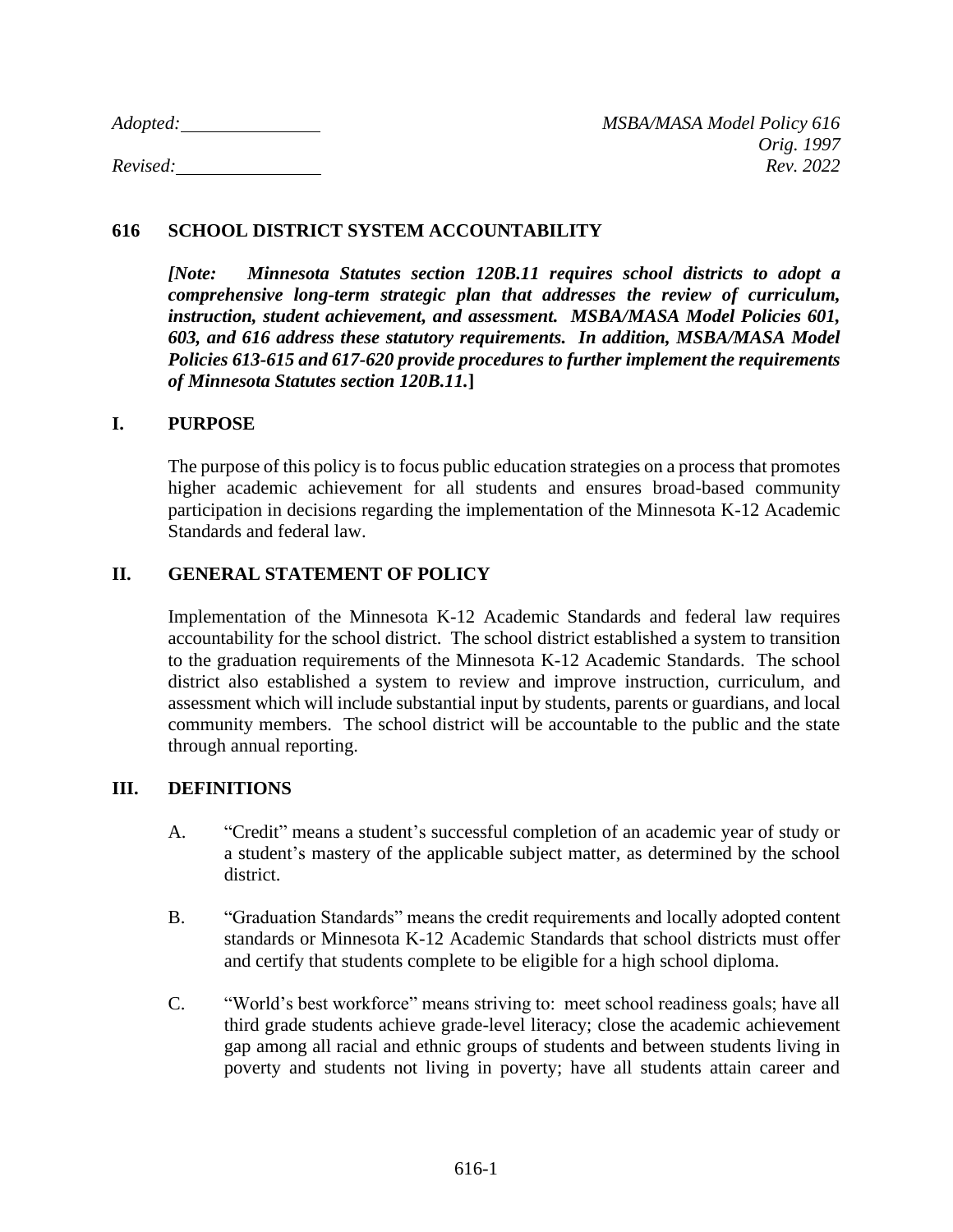*Adopted: MSBA/MASA Model Policy 616*

# **616 SCHOOL DISTRICT SYSTEM ACCOUNTABILITY**

*[Note: Minnesota Statutes section 120B.11 requires school districts to adopt a comprehensive long-term strategic plan that addresses the review of curriculum, instruction, student achievement, and assessment. MSBA/MASA Model Policies 601, 603, and 616 address these statutory requirements. In addition, MSBA/MASA Model Policies 613-615 and 617-620 provide procedures to further implement the requirements of Minnesota Statutes section 120B.11.***]**

### **I. PURPOSE**

The purpose of this policy is to focus public education strategies on a process that promotes higher academic achievement for all students and ensures broad-based community participation in decisions regarding the implementation of the Minnesota K-12 Academic Standards and federal law.

### **II. GENERAL STATEMENT OF POLICY**

Implementation of the Minnesota K-12 Academic Standards and federal law requires accountability for the school district. The school district established a system to transition to the graduation requirements of the Minnesota K-12 Academic Standards. The school district also established a system to review and improve instruction, curriculum, and assessment which will include substantial input by students, parents or guardians, and local community members. The school district will be accountable to the public and the state through annual reporting.

### **III. DEFINITIONS**

- A. "Credit" means a student's successful completion of an academic year of study or a student's mastery of the applicable subject matter, as determined by the school district.
- B. "Graduation Standards" means the credit requirements and locally adopted content standards or Minnesota K-12 Academic Standards that school districts must offer and certify that students complete to be eligible for a high school diploma.
- C. "World's best workforce" means striving to: meet school readiness goals; have all third grade students achieve grade-level literacy; close the academic achievement gap among all racial and ethnic groups of students and between students living in poverty and students not living in poverty; have all students attain career and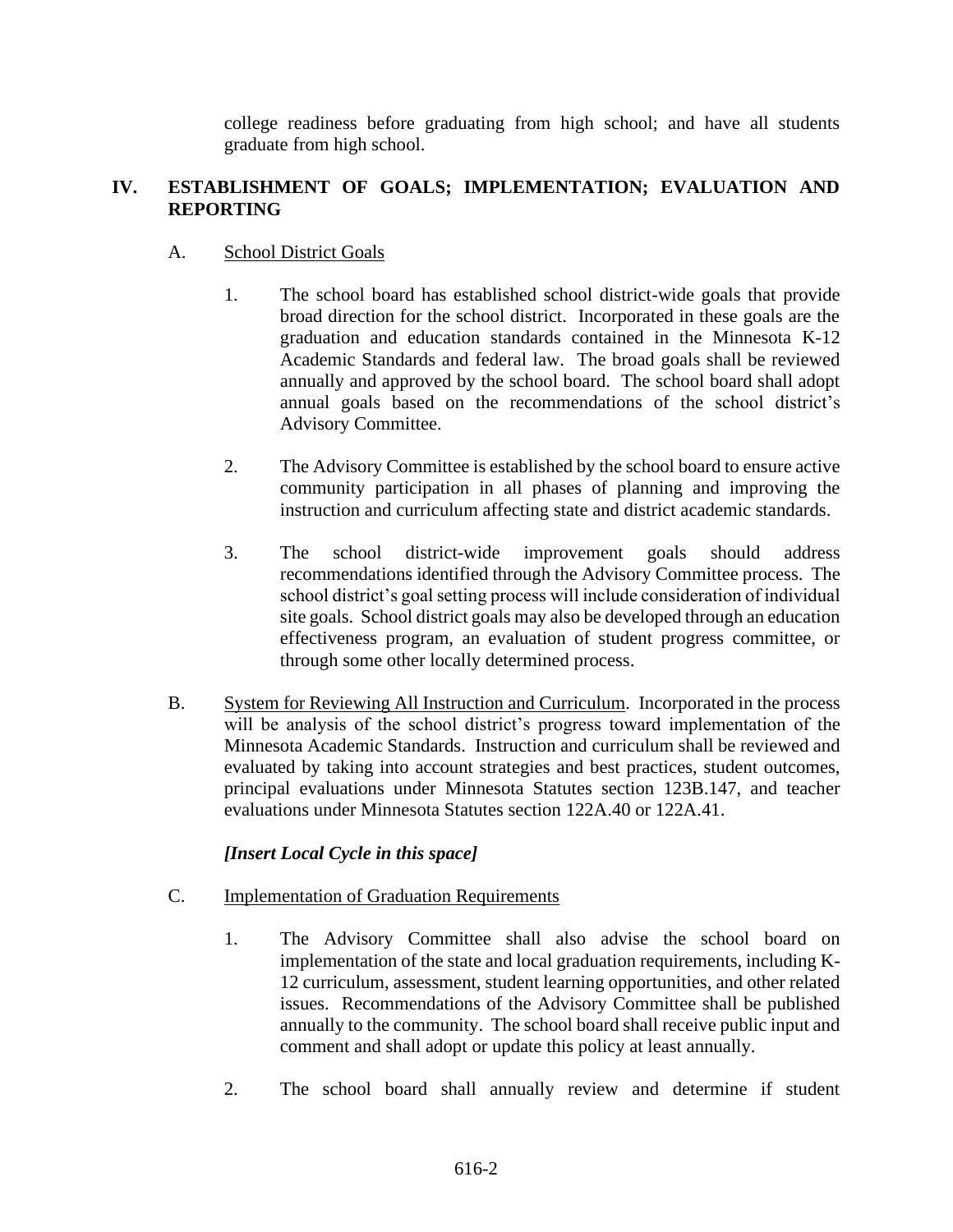college readiness before graduating from high school; and have all students graduate from high school.

# **IV. ESTABLISHMENT OF GOALS; IMPLEMENTATION; EVALUATION AND REPORTING**

# A. School District Goals

- 1. The school board has established school district-wide goals that provide broad direction for the school district. Incorporated in these goals are the graduation and education standards contained in the Minnesota K-12 Academic Standards and federal law. The broad goals shall be reviewed annually and approved by the school board. The school board shall adopt annual goals based on the recommendations of the school district's Advisory Committee.
- 2. The Advisory Committee is established by the school board to ensure active community participation in all phases of planning and improving the instruction and curriculum affecting state and district academic standards.
- 3. The school district-wide improvement goals should address recommendations identified through the Advisory Committee process. The school district's goal setting process will include consideration of individual site goals. School district goals may also be developed through an education effectiveness program, an evaluation of student progress committee, or through some other locally determined process.
- B. System for Reviewing All Instruction and Curriculum. Incorporated in the process will be analysis of the school district's progress toward implementation of the Minnesota Academic Standards. Instruction and curriculum shall be reviewed and evaluated by taking into account strategies and best practices, student outcomes, principal evaluations under Minnesota Statutes section 123B.147, and teacher evaluations under Minnesota Statutes section 122A.40 or 122A.41.

# *[Insert Local Cycle in this space]*

- C. Implementation of Graduation Requirements
	- 1. The Advisory Committee shall also advise the school board on implementation of the state and local graduation requirements, including K-12 curriculum, assessment, student learning opportunities, and other related issues. Recommendations of the Advisory Committee shall be published annually to the community. The school board shall receive public input and comment and shall adopt or update this policy at least annually.
	- 2. The school board shall annually review and determine if student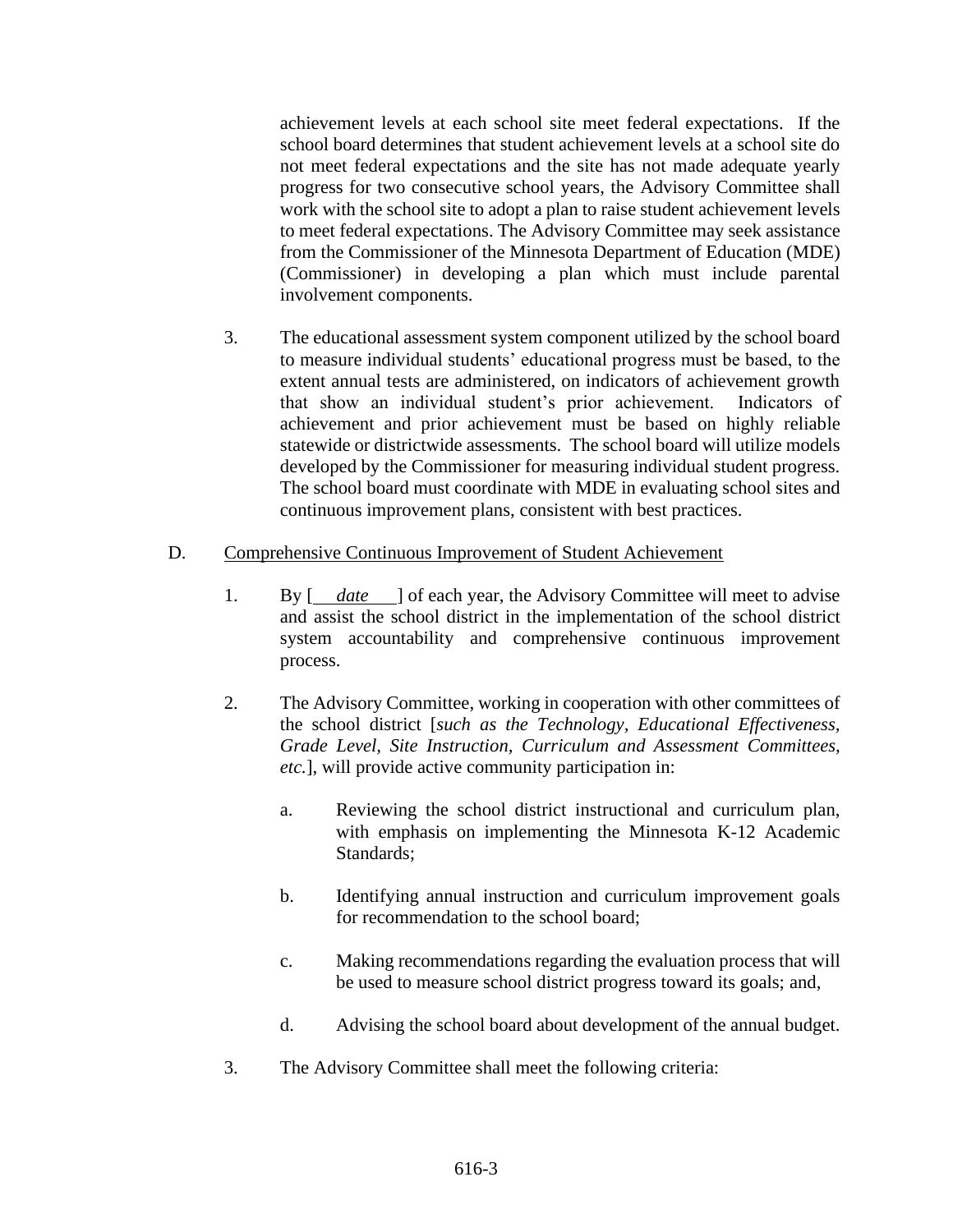achievement levels at each school site meet federal expectations. If the school board determines that student achievement levels at a school site do not meet federal expectations and the site has not made adequate yearly progress for two consecutive school years, the Advisory Committee shall work with the school site to adopt a plan to raise student achievement levels to meet federal expectations. The Advisory Committee may seek assistance from the Commissioner of the Minnesota Department of Education (MDE) (Commissioner) in developing a plan which must include parental involvement components.

3. The educational assessment system component utilized by the school board to measure individual students' educational progress must be based, to the extent annual tests are administered, on indicators of achievement growth that show an individual student's prior achievement. Indicators of achievement and prior achievement must be based on highly reliable statewide or districtwide assessments. The school board will utilize models developed by the Commissioner for measuring individual student progress. The school board must coordinate with MDE in evaluating school sites and continuous improvement plans, consistent with best practices.

### D. Comprehensive Continuous Improvement of Student Achievement

- 1. By  $\begin{bmatrix} \frac{date}{\end{bmatrix}$  of each year, the Advisory Committee will meet to advise and assist the school district in the implementation of the school district system accountability and comprehensive continuous improvement process.
- 2. The Advisory Committee, working in cooperation with other committees of the school district [*such as the Technology, Educational Effectiveness, Grade Level, Site Instruction, Curriculum and Assessment Committees, etc.*], will provide active community participation in:
	- a. Reviewing the school district instructional and curriculum plan, with emphasis on implementing the Minnesota K-12 Academic Standards;
	- b. Identifying annual instruction and curriculum improvement goals for recommendation to the school board;
	- c. Making recommendations regarding the evaluation process that will be used to measure school district progress toward its goals; and,
	- d. Advising the school board about development of the annual budget.
- 3. The Advisory Committee shall meet the following criteria: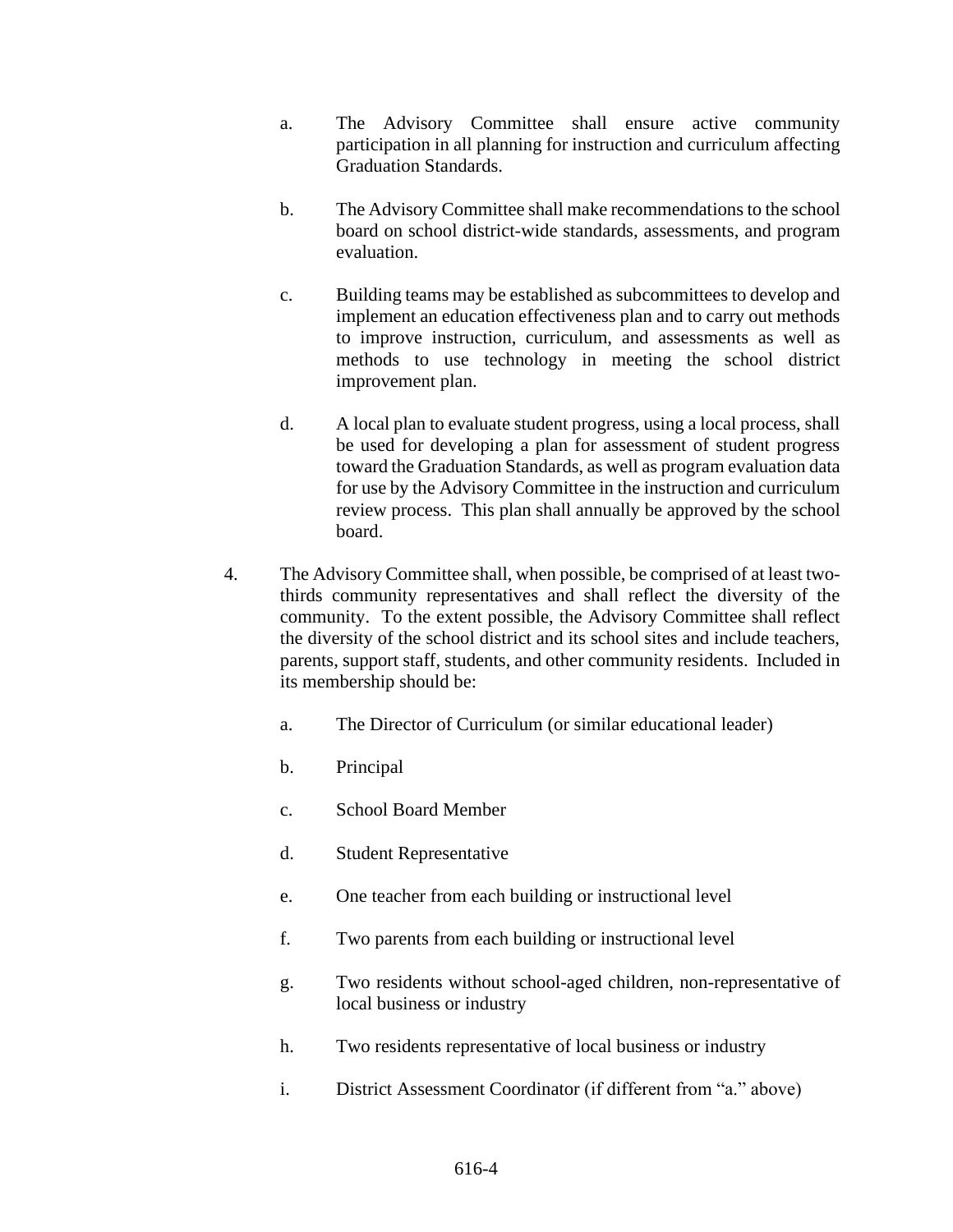- a. The Advisory Committee shall ensure active community participation in all planning for instruction and curriculum affecting Graduation Standards.
- b. The Advisory Committee shall make recommendations to the school board on school district-wide standards, assessments, and program evaluation.
- c. Building teams may be established as subcommittees to develop and implement an education effectiveness plan and to carry out methods to improve instruction, curriculum, and assessments as well as methods to use technology in meeting the school district improvement plan.
- d. A local plan to evaluate student progress, using a local process, shall be used for developing a plan for assessment of student progress toward the Graduation Standards, as well as program evaluation data for use by the Advisory Committee in the instruction and curriculum review process. This plan shall annually be approved by the school board.
- 4. The Advisory Committee shall, when possible, be comprised of at least twothirds community representatives and shall reflect the diversity of the community. To the extent possible, the Advisory Committee shall reflect the diversity of the school district and its school sites and include teachers, parents, support staff, students, and other community residents. Included in its membership should be:
	- a. The Director of Curriculum (or similar educational leader)
	- b. Principal
	- c. School Board Member
	- d. Student Representative
	- e. One teacher from each building or instructional level
	- f. Two parents from each building or instructional level
	- g. Two residents without school-aged children, non-representative of local business or industry
	- h. Two residents representative of local business or industry
	- i. District Assessment Coordinator (if different from "a." above)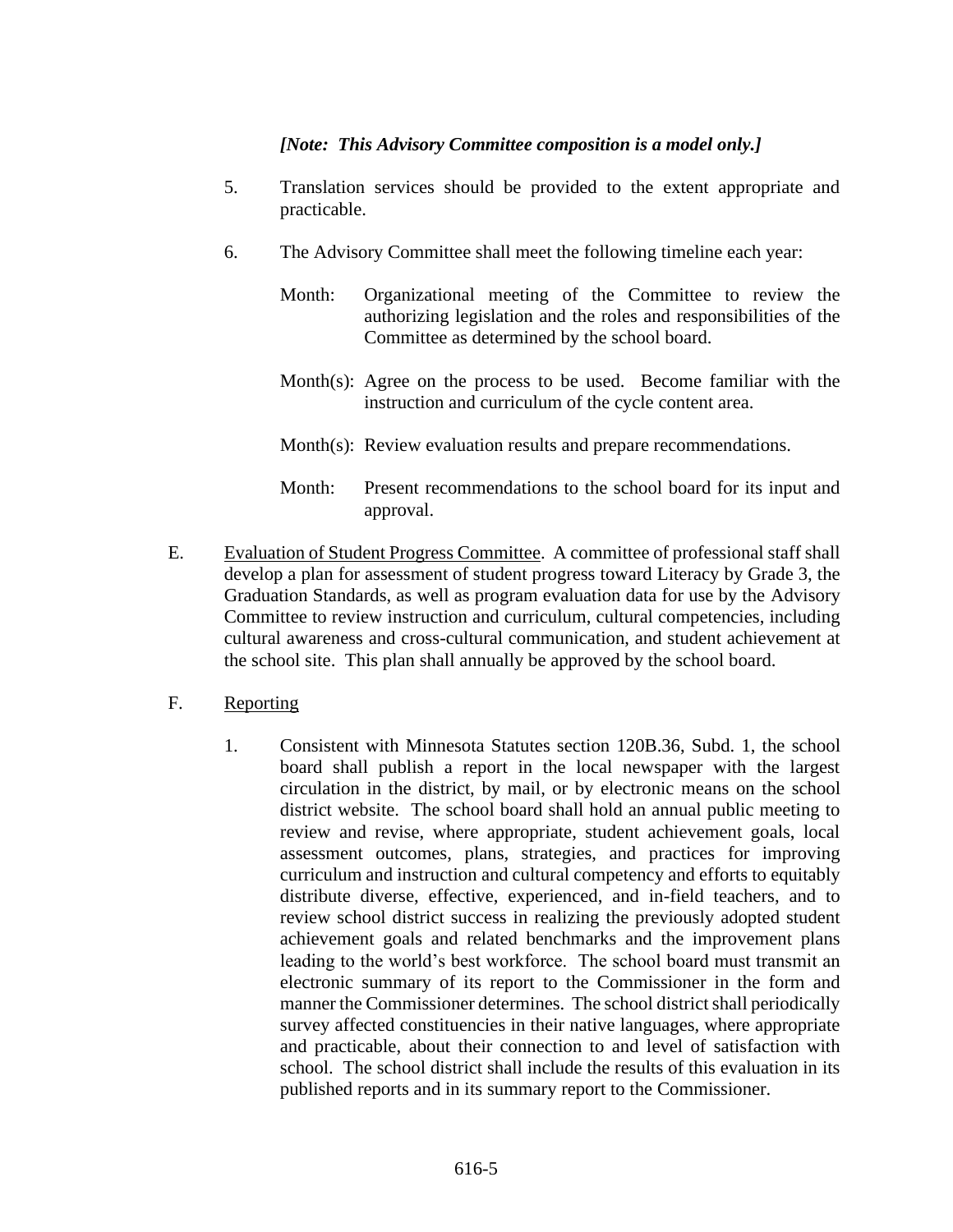# *[Note: This Advisory Committee composition is a model only.]*

- 5. Translation services should be provided to the extent appropriate and practicable.
- 6. The Advisory Committee shall meet the following timeline each year:
	- Month: Organizational meeting of the Committee to review the authorizing legislation and the roles and responsibilities of the Committee as determined by the school board.
	- Month(s): Agree on the process to be used. Become familiar with the instruction and curriculum of the cycle content area.
	- Month(s): Review evaluation results and prepare recommendations.
	- Month: Present recommendations to the school board for its input and approval.
- E. Evaluation of Student Progress Committee. A committee of professional staff shall develop a plan for assessment of student progress toward Literacy by Grade 3, the Graduation Standards, as well as program evaluation data for use by the Advisory Committee to review instruction and curriculum, cultural competencies, including cultural awareness and cross-cultural communication, and student achievement at the school site. This plan shall annually be approved by the school board.
- F. Reporting
	- 1. Consistent with Minnesota Statutes section 120B.36, Subd. 1, the school board shall publish a report in the local newspaper with the largest circulation in the district, by mail, or by electronic means on the school district website. The school board shall hold an annual public meeting to review and revise, where appropriate, student achievement goals, local assessment outcomes, plans, strategies, and practices for improving curriculum and instruction and cultural competency and efforts to equitably distribute diverse, effective, experienced, and in-field teachers, and to review school district success in realizing the previously adopted student achievement goals and related benchmarks and the improvement plans leading to the world's best workforce. The school board must transmit an electronic summary of its report to the Commissioner in the form and manner the Commissioner determines. The school district shall periodically survey affected constituencies in their native languages, where appropriate and practicable, about their connection to and level of satisfaction with school. The school district shall include the results of this evaluation in its published reports and in its summary report to the Commissioner.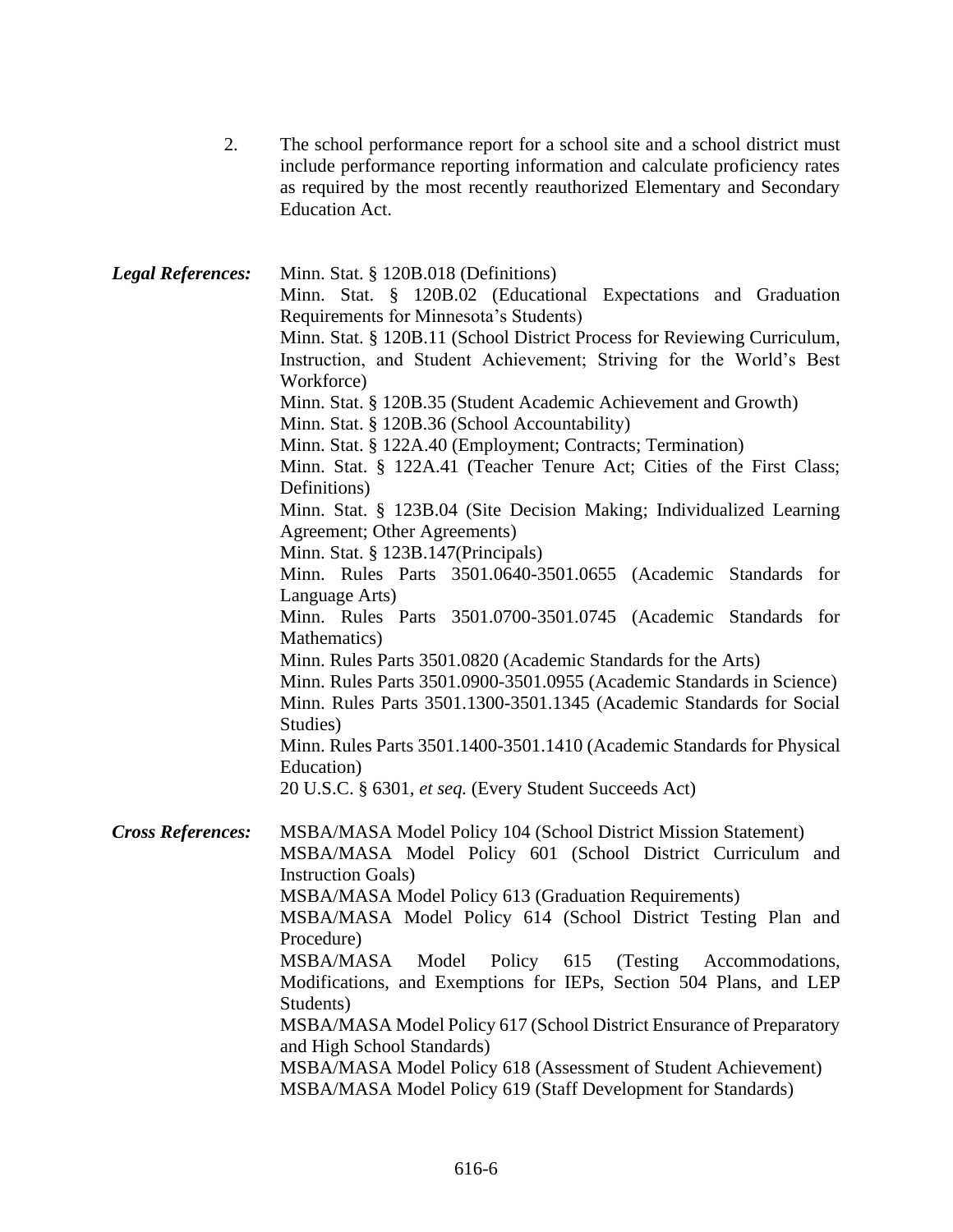| 2. | The school performance report for a school site and a school district must |
|----|----------------------------------------------------------------------------|
|    | include performance reporting information and calculate proficiency rates  |
|    | as required by the most recently reauthorized Elementary and Secondary     |
|    | Education Act.                                                             |

| <b>Legal References:</b> | Minn. Stat. § 120B.018 (Definitions)                                                                                         |
|--------------------------|------------------------------------------------------------------------------------------------------------------------------|
|                          | Minn. Stat. § 120B.02 (Educational Expectations and Graduation                                                               |
|                          | Requirements for Minnesota's Students)                                                                                       |
|                          | Minn. Stat. § 120B.11 (School District Process for Reviewing Curriculum,                                                     |
|                          | Instruction, and Student Achievement; Striving for the World's Best                                                          |
|                          | Workforce)                                                                                                                   |
|                          | Minn. Stat. § 120B.35 (Student Academic Achievement and Growth)                                                              |
|                          | Minn. Stat. § 120B.36 (School Accountability)                                                                                |
|                          | Minn. Stat. § 122A.40 (Employment; Contracts; Termination)                                                                   |
|                          | Minn. Stat. § 122A.41 (Teacher Tenure Act; Cities of the First Class;                                                        |
|                          | Definitions)                                                                                                                 |
|                          | Minn. Stat. § 123B.04 (Site Decision Making; Individualized Learning                                                         |
|                          | Agreement; Other Agreements)                                                                                                 |
|                          | Minn. Stat. § 123B.147(Principals)                                                                                           |
|                          | Minn. Rules Parts 3501.0640-3501.0655 (Academic Standards for                                                                |
|                          | Language Arts)                                                                                                               |
|                          | Minn. Rules Parts 3501.0700-3501.0745 (Academic Standards for                                                                |
|                          | Mathematics)                                                                                                                 |
|                          | Minn. Rules Parts 3501.0820 (Academic Standards for the Arts)                                                                |
|                          | Minn. Rules Parts 3501.0900-3501.0955 (Academic Standards in Science)                                                        |
|                          | Minn. Rules Parts 3501.1300-3501.1345 (Academic Standards for Social                                                         |
|                          | Studies)                                                                                                                     |
|                          | Minn. Rules Parts 3501.1400-3501.1410 (Academic Standards for Physical                                                       |
|                          | Education)                                                                                                                   |
|                          | 20 U.S.C. § 6301, et seq. (Every Student Succeeds Act)                                                                       |
|                          |                                                                                                                              |
| <b>Cross References:</b> | MSBA/MASA Model Policy 104 (School District Mission Statement)<br>MSBA/MASA Model Policy 601 (School District Curriculum and |
|                          | <b>Instruction Goals</b> )                                                                                                   |
|                          | MSBA/MASA Model Policy 613 (Graduation Requirements)                                                                         |
|                          | MSBA/MASA Model Policy 614 (School District Testing Plan and                                                                 |
|                          | Procedure)                                                                                                                   |
|                          | MSBA/MASA Model Policy 615 (Testing Accommodations,                                                                          |
|                          | Modifications, and Exemptions for IEPs, Section 504 Plans, and LEP                                                           |
|                          | Students)                                                                                                                    |
|                          | MSBA/MASA Model Policy 617 (School District Ensurance of Preparatory                                                         |
|                          | and High School Standards)                                                                                                   |
|                          | MSBA/MASA Model Policy 618 (Assessment of Student Achievement)                                                               |
|                          | MSBA/MASA Model Policy 619 (Staff Development for Standards)                                                                 |
|                          |                                                                                                                              |